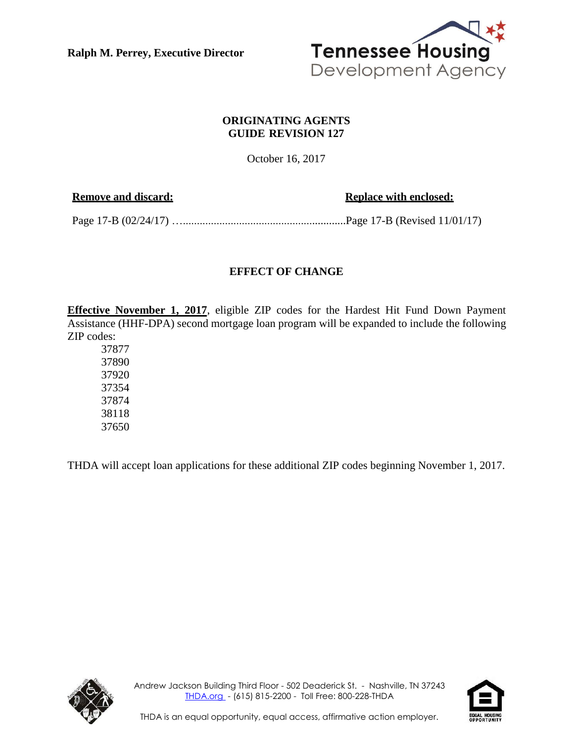**Ralph M. Perrey, Executive Director**



## **ORIGINATING AGENTS GUIDE REVISION 127**

October 16, 2017

**Remove** and discard: **Replace** with **enclosed: Replace** with **enclosed:** 

Page 17-B (02/24/17) …..........................................................Page 17-B (Revised 11/01/17)

## **EFFECT OF CHANGE**

**Effective November 1, 2017**, eligible ZIP codes for the Hardest Hit Fund Down Payment Assistance (HHF-DPA) second mortgage loan program will be expanded to include the following ZIP codes:

THDA will accept loan applications for these additional ZIP codes beginning November 1, 2017.